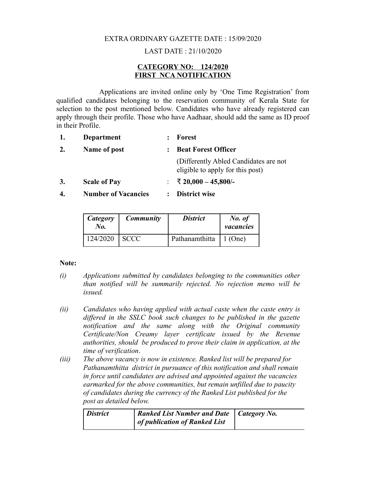#### EXTRA ORDINARY GAZETTE DATE : 15/09/2020

# LAST DATE : 21/10/2020

# **CATEGORY NO: 124/2020 FIRST NCA NOTIFICATION**

Applications are invited online only by 'One Time Registration' from qualified candidates belonging to the reservation community of Kerala State for selection to the post mentioned below. Candidates who have already registered can apply through their profile. Those who have Aadhaar, should add the same as ID proof in their Profile.

- **1. Department : Forest**
- **2. Name of post : Beat Forest Officer** (Differently Abled Candidates are not eligible to apply for this post) **3. Scale of Pay** : ₹ **20,000 – 45,800/-**
- **4. Number of Vacancies : District wise**

| Category<br>No. | <b>Community</b> | <b>District</b> | No. of<br>vacancies |
|-----------------|------------------|-----------------|---------------------|
| 124/2020        | <b>SCCC</b>      | Pathanamthitta  | $\vert$ 1 (One)     |

#### **Note:**

- *(i) Applications submitted by candidates belonging to the communities other than notified will be summarily rejected. No rejection memo will be issued.*
- *(ii) Candidates who having applied with actual caste when the caste entry is differed in the SSLC book such changes to be published in the gazette notification and the same along with the Original community Certificate/Non Creamy layer certificate issued by the Revenue authorities, should be produced to prove their claim in application, at the time of verification*.
- *(iii) The above vacancy is now in existence. Ranked list will be prepared for Pathanamthitta district in pursuance of this notification and shall remain in force until candidates are advised and appointed against the vacancies earmarked for the above communities, but remain unfilled due to paucity of candidates during the currency of the Ranked List published for the post as detailed below.*

| <i>District</i> | <b>Ranked List Number and Date</b>   Category No. |  |
|-----------------|---------------------------------------------------|--|
|                 | of publication of Ranked List                     |  |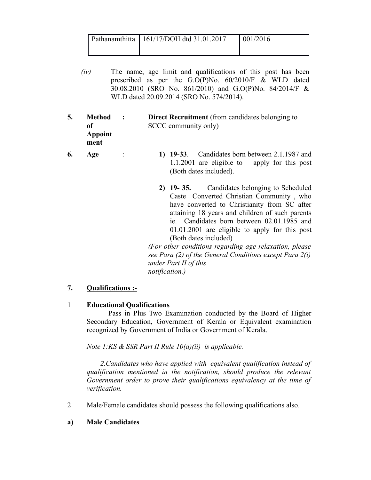| Pathanamthitta   $161/17/DOH$ dtd 31.01.2017 | 1001/2016 |
|----------------------------------------------|-----------|
|                                              |           |

- *(iv)* The name, age limit and qualifications of this post has been prescribed as per the G.O(P)No. 60/2010/F & WLD dated 30.08.2010 (SRO No. 861/2010) and G.O(P)No. 84/2014/F & WLD dated 20.09.2014 (SRO No. 574/2014).
- **5. Method of Appoint ment : Direct Recruitment** (from candidates belonging to SCCC community only)
- **6. Age** : **1) 19-33**. Candidates born between 2.1.1987 and 1.1.2001 are eligible to apply for this post (Both dates included).
	- **2) 19- 35.**Candidates belonging to Scheduled Caste Converted Christian Community , who have converted to Christianity from SC after attaining 18 years and children of such parents ie. Candidates born between 02.01.1985 and 01.01.2001 are eligible to apply for this post (Both dates included)

*(For other conditions regarding age relaxation, please see Para (2) of the General Conditions except Para 2(i) under Part II of this notification.)*

# **7. Qualifications :-**

# 1 **Educational Qualifications**

 Pass in Plus Two Examination conducted by the Board of Higher Secondary Education, Government of Kerala or Equivalent examination recognized by Government of India or Government of Kerala.

*Note 1:KS & SSR Part II Rule 10(a)(ii) is applicable.*

 *2.Candidates who have applied with equivalent qualification instead of qualification mentioned in the notification, should produce the relevant Government order to prove their qualifications equivalency at the time of verification.*

2 Male/Female candidates should possess the following qualifications also.

# **a) Male Candidates**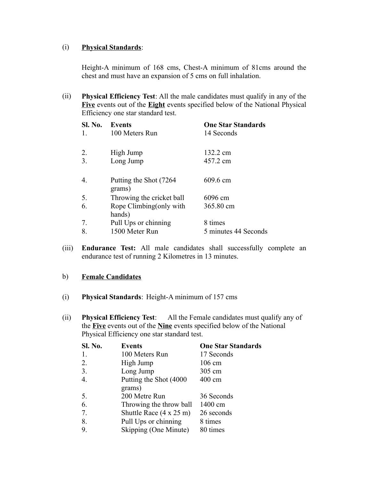#### (i) **Physical Standards**:

Height-A minimum of 168 cms, Chest-A minimum of 81cms around the chest and must have an expansion of 5 cms on full inhalation.

(ii) **Physical Efficiency Test**: All the male candidates must qualify in any of the **Five** events out of the **Eight** events specified below of the National Physical Efficiency one star standard test.

| <b>Sl. No.</b><br>1. | Events<br>100 Meters Run           | <b>One Star Standards</b><br>14 Seconds |
|----------------------|------------------------------------|-----------------------------------------|
| 2.<br>3.             | High Jump<br>Long Jump             | 132.2 cm<br>457.2 cm                    |
| 4.                   | Putting the Shot (7264)<br>grams)  | 609.6 cm                                |
| 5.                   | Throwing the cricket ball          | 6096 cm                                 |
| 6.                   | Rope Climbing (only with<br>hands) | 365.80 cm                               |
| 7.                   | Pull Ups or chinning               | 8 times                                 |
| 8.                   | 1500 Meter Run                     | 5 minutes 44 Seconds                    |

(iii) **Endurance Test:** All male candidates shall successfully complete an endurance test of running 2 Kilometres in 13 minutes.

# b) **Female Candidates**

- (i) **Physical Standards**: Height-A minimum of 157 cms
- (ii) **Physical Efficiency Test**: All the Female candidates must qualify any of the **Five** events out of the **Nine** events specified below of the National Physical Efficiency one star standard test.

| Sl. No. | <b>Events</b>                          | <b>One Star Standards</b> |
|---------|----------------------------------------|---------------------------|
| 1.      | 100 Meters Run                         | 17 Seconds                |
| 2.      | High Jump                              | $106 \text{ cm}$          |
| 3.      | Long Jump                              | 305 cm                    |
| 4.      | Putting the Shot (4000)                | $400 \text{ cm}$          |
|         | grams)                                 |                           |
| 5.      | 200 Metre Run                          | 36 Seconds                |
| 6.      | Throwing the throw ball                | 1400 cm                   |
| 7.      | Shuttle Race $(4 \times 25 \text{ m})$ | 26 seconds                |
| 8.      | Pull Ups or chinning                   | 8 times                   |
| 9.      | Skipping (One Minute)                  | 80 times                  |
|         |                                        |                           |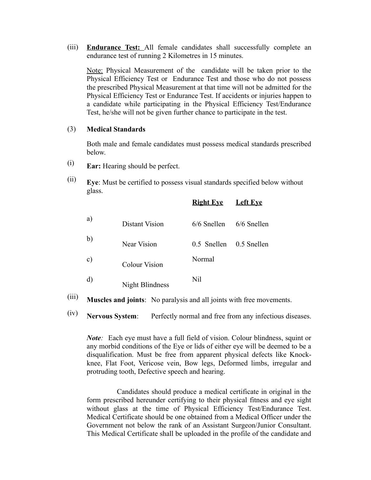(iii) **Endurance Test:** All female candidates shall successfully complete an endurance test of running 2 Kilometres in 15 minutes.

Note: Physical Measurement of the candidate will be taken prior to the Physical Efficiency Test or Endurance Test and those who do not possess the prescribed Physical Measurement at that time will not be admitted for the Physical Efficiency Test or Endurance Test. If accidents or injuries happen to a candidate while participating in the Physical Efficiency Test/Endurance Test, he/she will not be given further chance to participate in the test.

#### (3) **Medical Standards**

Both male and female candidates must possess medical standards prescribed below.

- (i) **Ear:** Hearing should be perfect.
- (ii) **Eye**: Must be certified to possess visual standards specified below without glass.

|               |                      | <b>Right Eye</b>        | <b>Left Eve</b> |
|---------------|----------------------|-------------------------|-----------------|
| a)            | Distant Vision       | $6/6$ Snellen           | 6/6 Snellen     |
| b)            | <b>Near Vision</b>   | 0.5 Snellen 0.5 Snellen |                 |
| $\mathbf{c})$ | <b>Colour Vision</b> | Normal                  |                 |
| d)            | Night Blindness      | Nil                     |                 |

(iii) **Muscles and joints**: No paralysis and all joints with free movements.

(iv) **Nervous System**: Perfectly normal and free from any infectious diseases.

*Note*: Each eye must have a full field of vision. Colour blindness, squint or any morbid conditions of the Eye or lids of either eye will be deemed to be a disqualification. Must be free from apparent physical defects like Knockknee, Flat Foot, Vericose vein, Bow legs, Deformed limbs, irregular and protruding tooth, Defective speech and hearing.

 Candidates should produce a medical certificate in original in the form prescribed hereunder certifying to their physical fitness and eye sight without glass at the time of Physical Efficiency Test/Endurance Test. Medical Certificate should be one obtained from a Medical Officer under the Government not below the rank of an Assistant Surgeon/Junior Consultant. This Medical Certificate shall be uploaded in the profile of the candidate and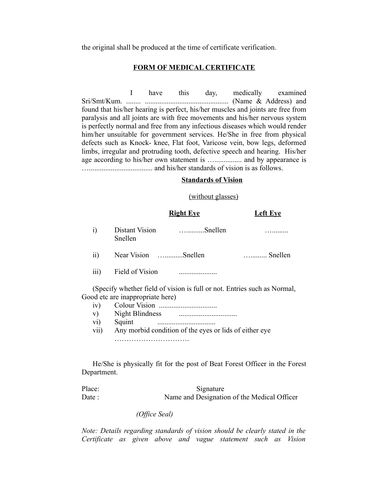the original shall be produced at the time of certificate verification.

#### **FORM OF MEDICAL CERTIFICATE**

 I have this day, medically examined Sri/Smt/Kum. ........ .............................................. (Name & Address) and found that his/her hearing is perfect, his/her muscles and joints are free from paralysis and all joints are with free movements and his/her nervous system is perfectly normal and free from any infectious diseases which would render him/her unsuitable for government services. He/She in free from physical defects such as Knock- knee, Flat foot, Varicose vein, bow legs, deformed limbs, irregular and protruding tooth, defective speech and hearing. His/her age according to his/her own statement is …............... and by appearance is …................................... and his/her standards of vision is as follows.

#### **Standards of Vision**

#### (without glasses)

|     | <b>Right Eye</b>          |                                                                        | <b>Left Eve</b>  |  |
|-----|---------------------------|------------------------------------------------------------------------|------------------|--|
| i)  | Distant Vision<br>Snellen | $\ldots$ Snellen                                                       |                  |  |
| ii) | Near Vision Snellen       |                                                                        | $\ldots$ Snellen |  |
|     | iii) Field of Vision      |                                                                        |                  |  |
|     |                           | (Specify whether field of vision is full or not Futries such as Normal |                  |  |

(Specify whether field of vision is full or not. Entries such as Normal, Good etc are inappropriate here)

- iv) Colour Vision ................................
- v) Night Blindness ................................
- vi) Squint ................................
- vii) Any morbid condition of the eyes or lids of either eye ………………………….

He/She is physically fit for the post of Beat Forest Officer in the Forest Department.

Place: Signature Date : Name and Designation of the Medical Officer

 *(Office Seal)*

*Note: Details regarding standards of vision should be clearly stated in the Certificate as given above and vague statement such as Vision*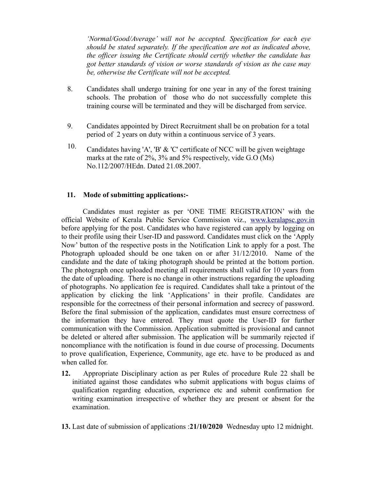*'Normal/Good/Average' will not be accepted. Specification for each eye should be stated separately. If the specification are not as indicated above, the officer issuing the Certificate should certify whether the candidate has got better standards of vision or worse standards of vision as the case may be, otherwise the Certificate will not be accepted.*

- 8. Candidates shall undergo training for one year in any of the forest training schools. The probation of those who do not successfully complete this training course will be terminated and they will be discharged from service.
- 9. Candidates appointed by Direct Recruitment shall be on probation for a total period of 2 years on duty within a continuous service of 3 years.
- 10. Candidates having 'A', 'B' & 'C' certificate of NCC will be given weightage marks at the rate of 2%, 3% and 5% respectively, vide G.O (Ms) No.112/2007/HEdn. Dated 21.08.2007.

# **11. Mode of submitting applications:-**

Candidates must register as per 'ONE TIME REGISTRATION' with the official Website of Kerala Public Service Commission viz., [www.keralapsc.gov.in](http://www.keralapsc.gov.in/) before applying for the post. Candidates who have registered can apply by logging on to their profile using their User-ID and password. Candidates must click on the 'Apply Now' button of the respective posts in the Notification Link to apply for a post. The Photograph uploaded should be one taken on or after 31/12/2010. Name of the candidate and the date of taking photograph should be printed at the bottom portion. The photograph once uploaded meeting all requirements shall valid for 10 years from the date of uploading. There is no change in other instructions regarding the uploading of photographs. No application fee is required. Candidates shall take a printout of the application by clicking the link 'Applications' in their profile. Candidates are responsible for the correctness of their personal information and secrecy of password. Before the final submission of the application, candidates must ensure correctness of the information they have entered. They must quote the User-ID for further communication with the Commission. Application submitted is provisional and cannot be deleted or altered after submission. The application will be summarily rejected if noncompliance with the notification is found in due course of processing. Documents to prove qualification, Experience, Community, age etc. have to be produced as and when called for.

**12.** Appropriate Disciplinary action as per Rules of procedure Rule 22 shall be initiated against those candidates who submit applications with bogus claims of qualification regarding education, experience etc and submit confirmation for writing examination irrespective of whether they are present or absent for the examination.

**13.** Last date of submission of applications :**21/10/2020** Wednesday upto 12 midnight.